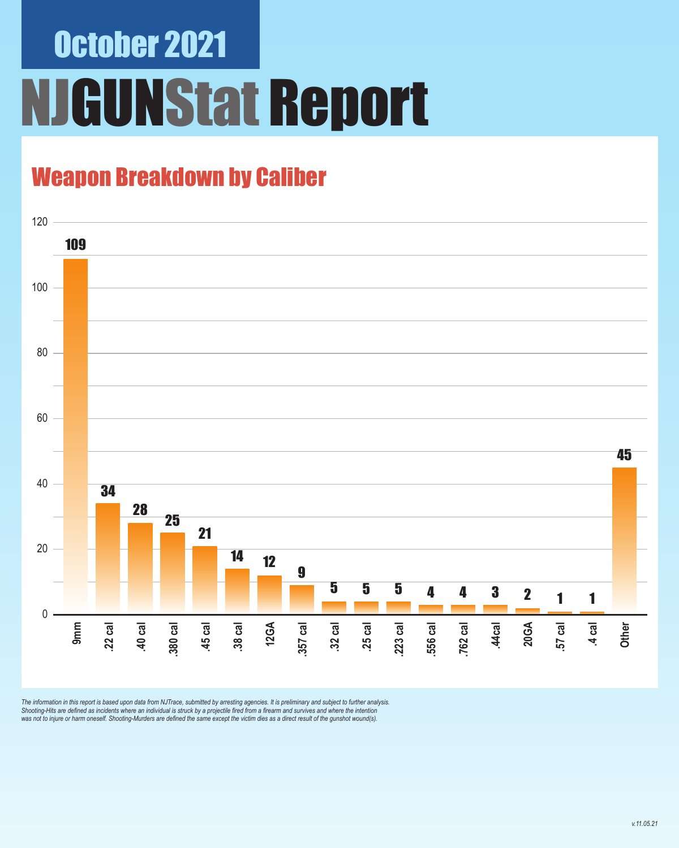# October 2021 **IGUNStat Report**

### Weapon Breakdown by Caliber



The information in this report is based upon data from NJTrace, submitted by arresting agencies. It is preliminary and subject to further analysis.<br>Shooting-Hits are defined as incidents where an individual is struck by a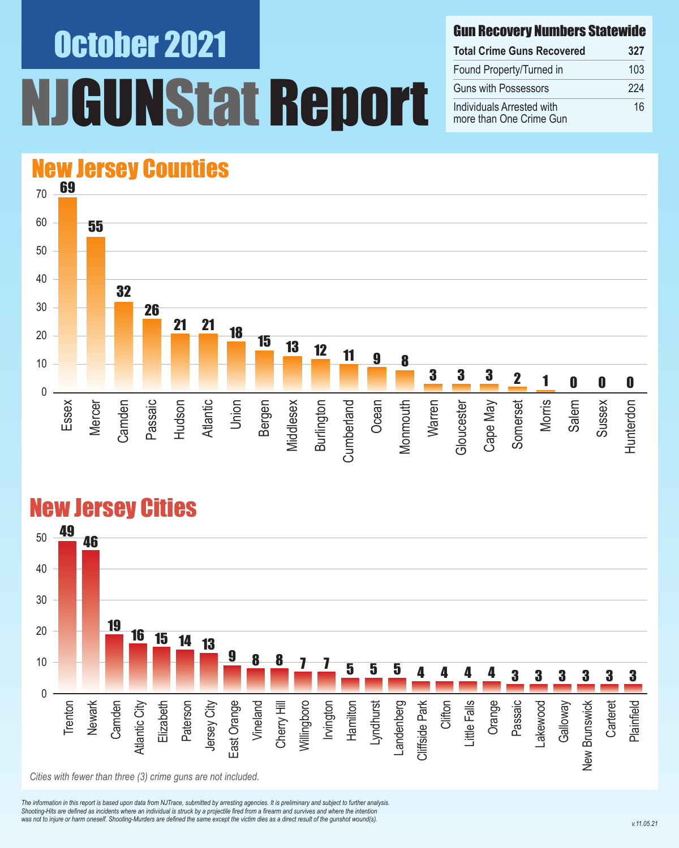# October 2021 UNStat Report

#### Gun Recovery Numbers Statewide

| <b>Total Crime Guns Recovered</b>                    | 327 |
|------------------------------------------------------|-----|
| Found Property/Turned in                             | 103 |
| <b>Guns with Possessors</b>                          | 224 |
| Individuals Arrested with<br>more than One Crime Gun | 16  |

#### 70 60 50 40 New Jersey Counties 69 32 55

### 0





#### New Jersey Cities

*The information in this report is based upon data from NJTrace, submitted by arresting agencies. It is preliminary and subject to further analysis. Shooting-Hits are defined as incidents where an individual is struck by a projectile fired from a firearm and survives and where the intention*  was not to injure or harm oneself. Shooting-Murders are defined the same except the victim dies as a direct result of the gunshot wound(s).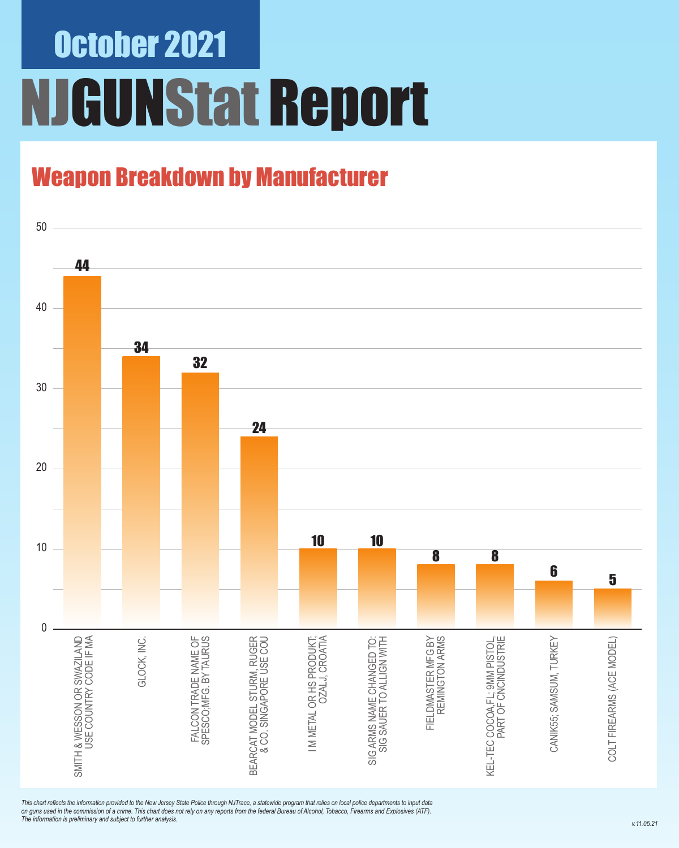## October 2021 NJGUNStat Report

### Weapon Breakdown by Manufacturer

![](_page_2_Figure_2.jpeg)

*This chart reflects the information provided to the New Jersey State Police through NJTrace, a statewide program that relies on local police departments to input data on guns used in the commission of a crime. This chart does not rely on any reports from the federal Bureau of Alcohol, Tobacco, Firearms and Explosives (ATF). The information is preliminary and subject to further analysis.*